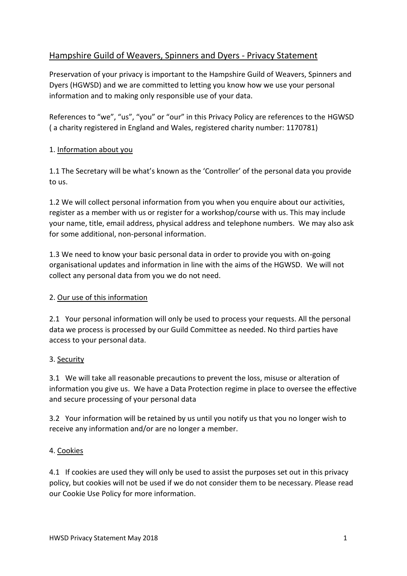# Hampshire Guild of Weavers, Spinners and Dyers - Privacy Statement

Preservation of your privacy is important to the Hampshire Guild of Weavers, Spinners and Dyers (HGWSD) and we are committed to letting you know how we use your personal information and to making only responsible use of your data.

References to "we", "us", "you" or "our" in this Privacy Policy are references to the HGWSD ( a charity registered in England and Wales, registered charity number: 1170781)

## 1. Information about you

1.1 The Secretary will be what's known as the 'Controller' of the personal data you provide to us.

1.2 We will collect personal information from you when you enquire about our activities, register as a member with us or register for a workshop/course with us. This may include your name, title, email address, physical address and telephone numbers. We may also ask for some additional, non-personal information.

1.3 We need to know your basic personal data in order to provide you with on-going organisational updates and information in line with the aims of the HGWSD. We will not collect any personal data from you we do not need.

### 2. Our use of this information

2.1 Your personal information will only be used to process your requests. All the personal data we process is processed by our Guild Committee as needed. No third parties have access to your personal data.

### 3. Security

3.1 We will take all reasonable precautions to prevent the loss, misuse or alteration of information you give us. We have a Data Protection regime in place to oversee the effective and secure processing of your personal data

3.2 Your information will be retained by us until you notify us that you no longer wish to receive any information and/or are no longer a member.

### 4. Cookies

4.1 If cookies are used they will only be used to assist the purposes set out in this privacy policy, but cookies will not be used if we do not consider them to be necessary. Please read our Cookie Use Policy for more information.